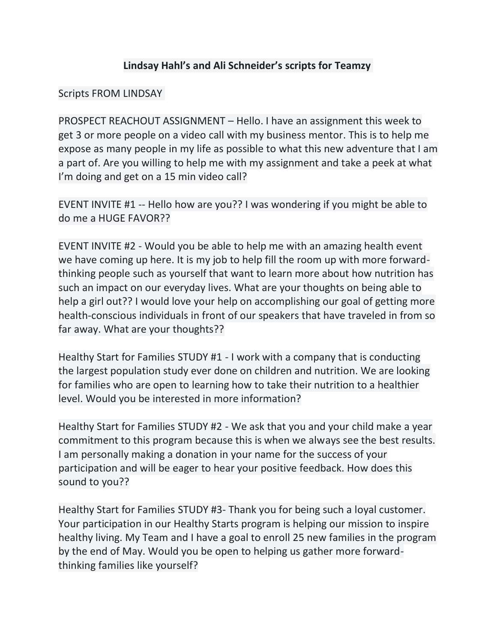# **Lindsay Hahl's and Ali Schneider's scripts for Teamzy**

## Scripts FROM LINDSAY

PROSPECT REACHOUT ASSIGNMENT – Hello. I have an assignment this week to get 3 or more people on a video call with my business mentor. This is to help me expose as many people in my life as possible to what this new adventure that I am a part of. Are you willing to help me with my assignment and take a peek at what I'm doing and get on a 15 min video call?

EVENT INVITE #1 -- Hello how are you?? I was wondering if you might be able to do me a HUGE FAVOR??

EVENT INVITE #2 - Would you be able to help me with an amazing health event we have coming up here. It is my job to help fill the room up with more forwardthinking people such as yourself that want to learn more about how nutrition has such an impact on our everyday lives. What are your thoughts on being able to help a girl out?? I would love your help on accomplishing our goal of getting more health-conscious individuals in front of our speakers that have traveled in from so far away. What are your thoughts??

Healthy Start for Families STUDY #1 - I work with a company that is conducting the largest population study ever done on children and nutrition. We are looking for families who are open to learning how to take their nutrition to a healthier level. Would you be interested in more information?

Healthy Start for Families STUDY #2 - We ask that you and your child make a year commitment to this program because this is when we always see the best results. I am personally making a donation in your name for the success of your participation and will be eager to hear your positive feedback. How does this sound to you??

Healthy Start for Families STUDY #3- Thank you for being such a loyal customer. Your participation in our Healthy Starts program is helping our mission to inspire healthy living. My Team and I have a goal to enroll 25 new families in the program by the end of May. Would you be open to helping us gather more forwardthinking families like yourself?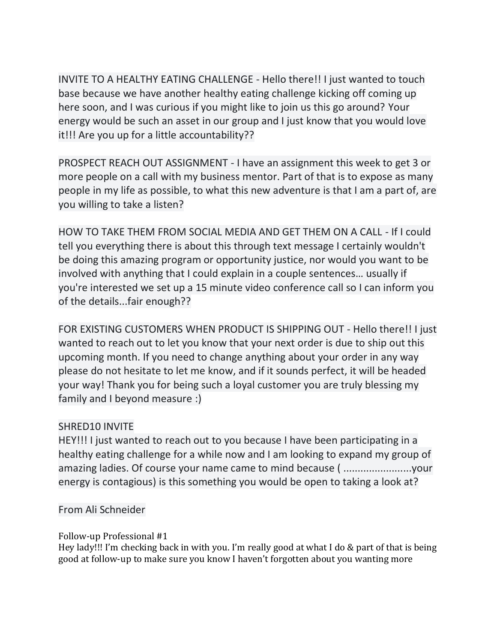INVITE TO A HEALTHY EATING CHALLENGE - Hello there!! I just wanted to touch base because we have another healthy eating challenge kicking off coming up here soon, and I was curious if you might like to join us this go around? Your energy would be such an asset in our group and I just know that you would love it!!! Are you up for a little accountability??

PROSPECT REACH OUT ASSIGNMENT - I have an assignment this week to get 3 or more people on a call with my business mentor. Part of that is to expose as many people in my life as possible, to what this new adventure is that I am a part of, are you willing to take a listen?

HOW TO TAKE THEM FROM SOCIAL MEDIA AND GET THEM ON A CALL - If I could tell you everything there is about this through text message I certainly wouldn't be doing this amazing program or opportunity justice, nor would you want to be involved with anything that I could explain in a couple sentences… usually if you're interested we set up a 15 minute video conference call so I can inform you of the details...fair enough??

FOR EXISTING CUSTOMERS WHEN PRODUCT IS SHIPPING OUT - Hello there!! I just wanted to reach out to let you know that your next order is due to ship out this upcoming month. If you need to change anything about your order in any way please do not hesitate to let me know, and if it sounds perfect, it will be headed your way! Thank you for being such a loyal customer you are truly blessing my family and I beyond measure :)

# SHRED10 INVITE

HEY!!! I just wanted to reach out to you because I have been participating in a healthy eating challenge for a while now and I am looking to expand my group of amazing ladies. Of course your name came to mind because ( ........................your energy is contagious) is this something you would be open to taking a look at?

# From Ali Schneider

## Follow-up Professional #1

Hey lady!!! I'm checking back in with you. I'm really good at what I do & part of that is being good at follow-up to make sure you know I haven't forgotten about you wanting more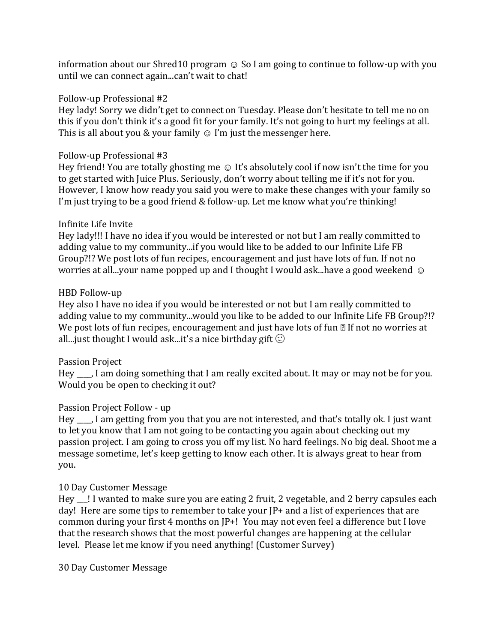information about our Shred10 program  $\odot$  So I am going to continue to follow-up with you until we can connect again...can't wait to chat!

### Follow-up Professional #2

Hey lady! Sorry we didn't get to connect on Tuesday. Please don't hesitate to tell me no on this if you don't think it's a good fit for your family. It's not going to hurt my feelings at all. This is all about you & your family  $\odot$  I'm just the messenger here.

#### Follow-up Professional #3

Hey friend! You are totally ghosting me  $\odot$  It's absolutely cool if now isn't the time for you to get started with Juice Plus. Seriously, don't worry about telling me if it's not for you. However, I know how ready you said you were to make these changes with your family so I'm just trying to be a good friend & follow-up. Let me know what you're thinking!

#### Infinite Life Invite

Hey lady!!! I have no idea if you would be interested or not but I am really committed to adding value to my community...if you would like to be added to our Infinite Life FB Group?!? We post lots of fun recipes, encouragement and just have lots of fun. If not no worries at all...your name popped up and I thought I would ask...have a good weekend  $\odot$ 

#### HBD Follow-up

Hey also I have no idea if you would be interested or not but I am really committed to adding value to my community...would you like to be added to our Infinite Life FB Group?!? We post lots of fun recipes, encouragement and just have lots of fun  $\mathbb B$  If not no worries at all...just thought I would ask...it's a nice birthday gift  $\odot$ 

## Passion Project

Hey \_\_\_\_, I am doing something that I am really excited about. It may or may not be for you. Would you be open to checking it out?

## Passion Project Follow - up

Hey \_\_\_\_, I am getting from you that you are not interested, and that's totally ok. I just want to let you know that I am not going to be contacting you again about checking out my passion project. I am going to cross you off my list. No hard feelings. No big deal. Shoot me a message sometime, let's keep getting to know each other. It is always great to hear from you.

## 10 Day Customer Message

Hey \_\_\_! I wanted to make sure you are eating 2 fruit, 2 vegetable, and 2 berry capsules each day! Here are some tips to remember to take your JP+ and a list of experiences that are common during your first 4 months on JP+! You may not even feel a difference but I love that the research shows that the most powerful changes are happening at the cellular level. Please let me know if you need anything! (Customer Survey)

30 Day Customer Message